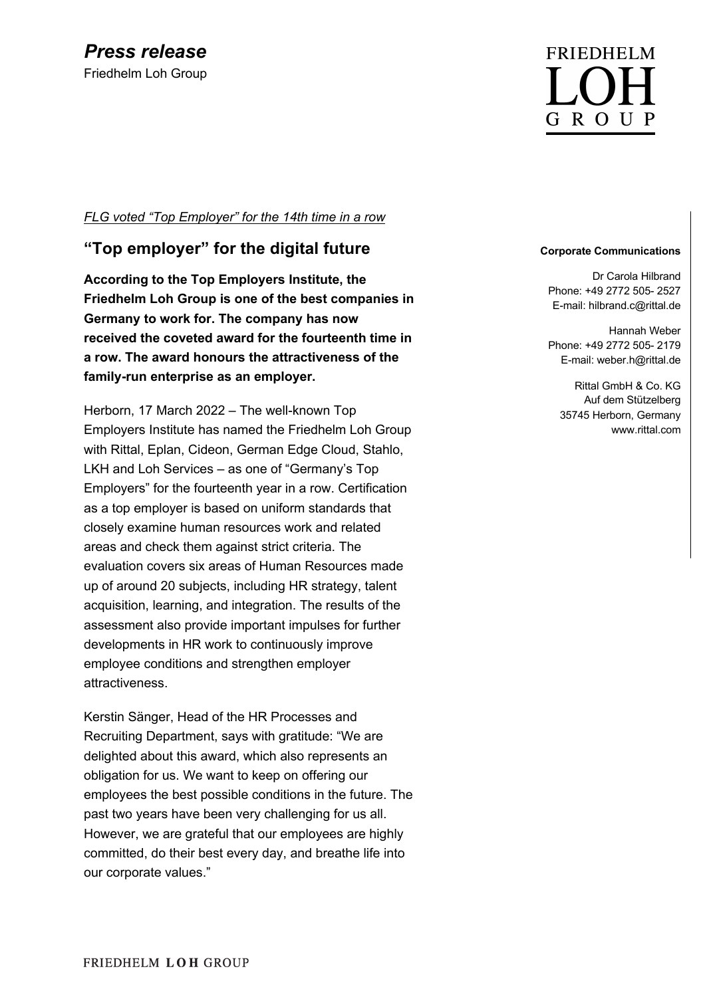## *FLG voted "Top Employer" for the 14th time in a row*

## **"Top employer" for the digital future**

**According to the Top Employers Institute, the Friedhelm Loh Group is one of the best companies in Germany to work for. The company has now received the coveted award for the fourteenth time in a row. The award honours the attractiveness of the family-run enterprise as an employer.**

Herborn, 17 March 2022 – The well-known Top Employers Institute has named the Friedhelm Loh Group with Rittal, Eplan, Cideon, German Edge Cloud, Stahlo, LKH and Loh Services – as one of "Germany's Top Employers" for the fourteenth year in a row. Certification as a top employer is based on uniform standards that closely examine human resources work and related areas and check them against strict criteria. The evaluation covers six areas of Human Resources made up of around 20 subjects, including HR strategy, talent acquisition, learning, and integration. The results of the assessment also provide important impulses for further developments in HR work to continuously improve employee conditions and strengthen employer attractiveness.

Kerstin Sänger, Head of the HR Processes and Recruiting Department, says with gratitude: "We are delighted about this award, which also represents an obligation for us. We want to keep on offering our employees the best possible conditions in the future. The past two years have been very challenging for us all. However, we are grateful that our employees are highly committed, do their best every day, and breathe life into our corporate values."

# **FRIEDHELM** G R O U P

#### **Corporate Communications**

Dr Carola Hilbrand Phone: +49 2772 505- 2527 E-mail: hilbrand.c@rittal.de

Hannah Weber Phone: +49 2772 505- 2179 E-mail: weber.h@rittal.de

Rittal GmbH & Co. KG Auf dem Stützelberg 35745 Herborn, Germany www.rittal.com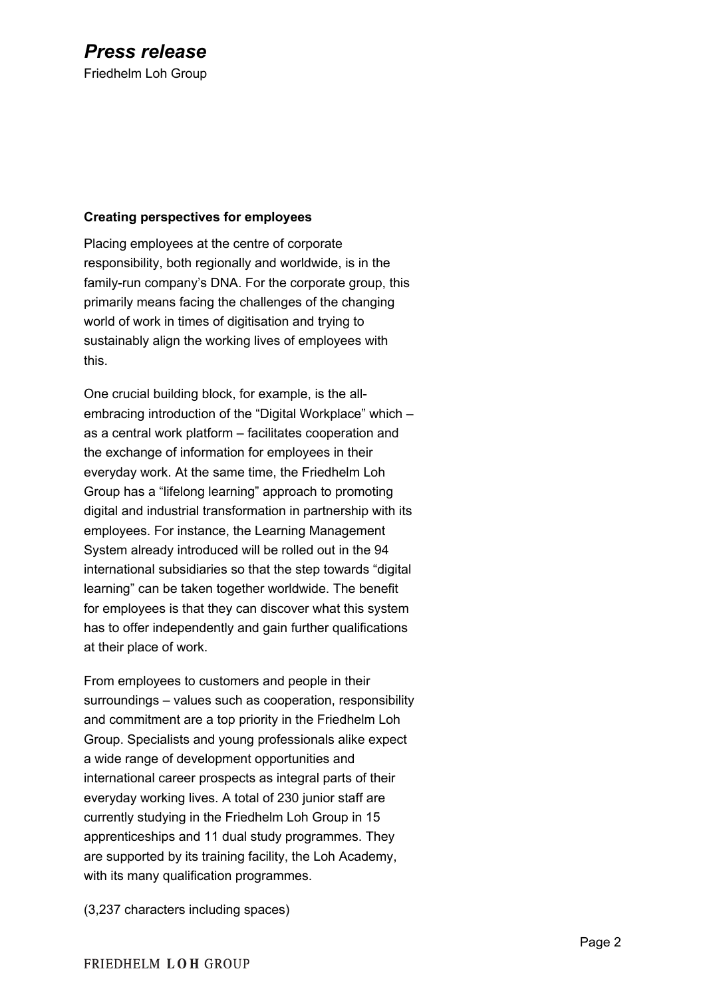## **Creating perspectives for employees**

Placing employees at the centre of corporate responsibility, both regionally and worldwide, is in the family-run company's DNA. For the corporate group, this primarily means facing the challenges of the changing world of work in times of digitisation and trying to sustainably align the working lives of employees with this.

One crucial building block, for example, is the allembracing introduction of the "Digital Workplace" which – as a central work platform – facilitates cooperation and the exchange of information for employees in their everyday work. At the same time, the Friedhelm Loh Group has a "lifelong learning" approach to promoting digital and industrial transformation in partnership with its employees. For instance, the Learning Management System already introduced will be rolled out in the 94 international subsidiaries so that the step towards "digital learning" can be taken together worldwide. The benefit for employees is that they can discover what this system has to offer independently and gain further qualifications at their place of work.

From employees to customers and people in their surroundings – values such as cooperation, responsibility and commitment are a top priority in the Friedhelm Loh Group. Specialists and young professionals alike expect a wide range of development opportunities and international career prospects as integral parts of their everyday working lives. A total of 230 junior staff are currently studying in the Friedhelm Loh Group in 15 apprenticeships and 11 dual study programmes. They are supported by its training facility, the Loh Academy, with its many qualification programmes.

(3,237 characters including spaces)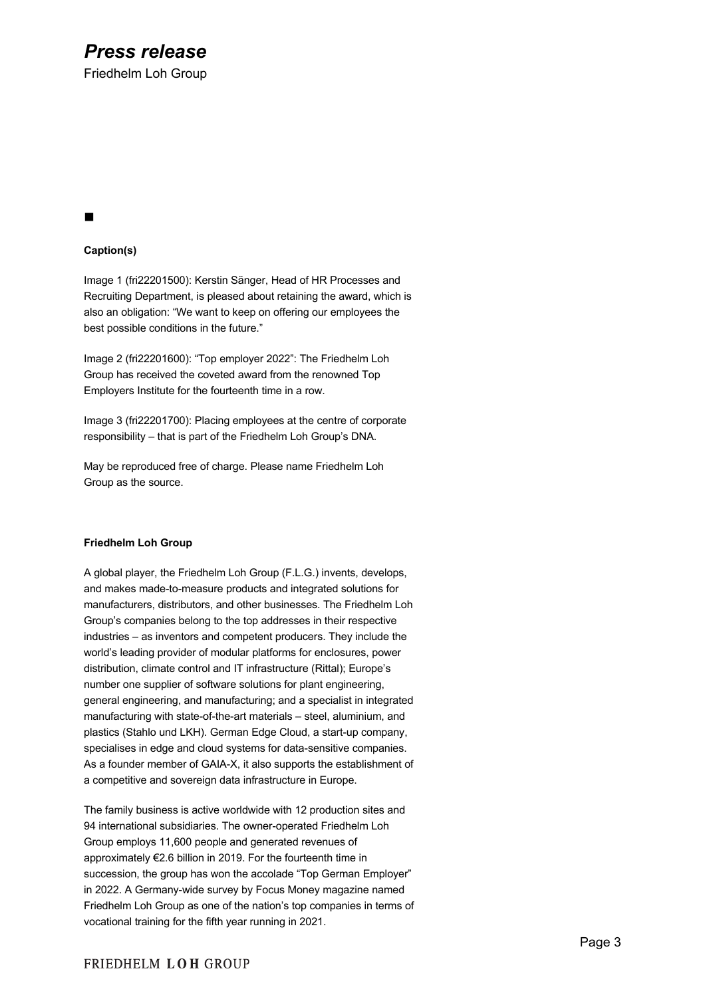## *Press release*

Friedhelm Loh Group

## n

### **Caption(s)**

Image 1 (fri22201500): Kerstin Sänger, Head of HR Processes and Recruiting Department, is pleased about retaining the award, which is also an obligation: "We want to keep on offering our employees the best possible conditions in the future."

Image 2 (fri22201600): "Top employer 2022": The Friedhelm Loh Group has received the coveted award from the renowned Top Employers Institute for the fourteenth time in a row.

Image 3 (fri22201700): Placing employees at the centre of corporate responsibility – that is part of the Friedhelm Loh Group's DNA.

May be reproduced free of charge. Please name Friedhelm Loh Group as the source.

#### **Friedhelm Loh Group**

A global player, the Friedhelm Loh Group (F.L.G.) invents, develops, and makes made-to-measure products and integrated solutions for manufacturers, distributors, and other businesses. The Friedhelm Loh Group's companies belong to the top addresses in their respective industries – as inventors and competent producers. They include the world's leading provider of modular platforms for enclosures, power distribution, climate control and IT infrastructure (Rittal); Europe's number one supplier of software solutions for plant engineering, general engineering, and manufacturing; and a specialist in integrated manufacturing with state-of-the-art materials – steel, aluminium, and plastics (Stahlo und LKH). German Edge Cloud, a start-up company, specialises in edge and cloud systems for data-sensitive companies. As a founder member of GAIA-X, it also supports the establishment of a competitive and sovereign data infrastructure in Europe.

The family business is active worldwide with 12 production sites and 94 international subsidiaries. The owner-operated Friedhelm Loh Group employs 11,600 people and generated revenues of approximately €2.6 billion in 2019. For the fourteenth time in succession, the group has won the accolade "Top German Employer" in 2022. A Germany-wide survey by Focus Money magazine named Friedhelm Loh Group as one of the nation's top companies in terms of vocational training for the fifth year running in 2021.